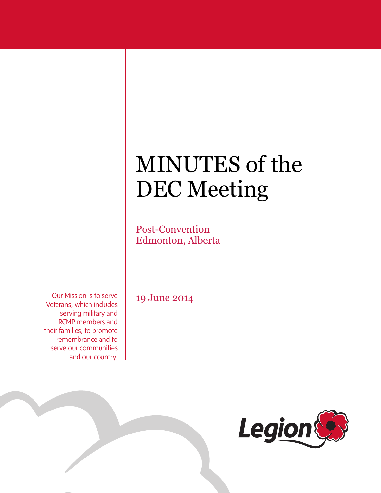# MINUTES of the DEC Meeting

Post-Convention Edmonton, Alberta

Our Mission is to serve Veterans, which includes serving military and RCMP members and their families, to promote remembrance and to serve our communities and our country.

19 June 2014

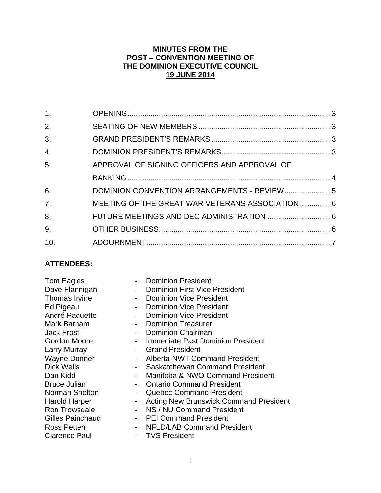# **MINUTES FROM THE POST – CONVENTION MEETING OF THE DOMINION EXECUTIVE COUNCIL 19 JUNE 2014**

| 1 <sub>1</sub> |                                                 |  |
|----------------|-------------------------------------------------|--|
| 2.             |                                                 |  |
| 3.             |                                                 |  |
| 4.             |                                                 |  |
| 5.             | APPROVAL OF SIGNING OFFICERS AND APPROVAL OF    |  |
|                |                                                 |  |
| 6.             | DOMINION CONVENTION ARRANGEMENTS - REVIEW 5     |  |
| 7 <sub>1</sub> | MEETING OF THE GREAT WAR VETERANS ASSOCIATION 6 |  |
| 8.             |                                                 |  |
| 9.             |                                                 |  |
| 10.            |                                                 |  |

# **ATTENDEES:**

| Norman Shelton<br><b>Quebec Command President</b><br><b>Acting New Brunswick Command President</b><br><b>Harold Harper</b><br>NS / NU Command President<br><b>Ron Trowsdale</b><br><b>Gilles Painchaud</b><br><b>PEI Command President</b><br><b>NFLD/LAB Command President</b><br>Ross Petten | Tom Eagles<br>Dave Flannigan<br>$\sim$<br>Thomas Irvine<br>Ed Pigeau<br>André Paquette<br>Mark Barham<br><b>Jack Frost</b><br>Gordon Moore<br><b>Larry Murray</b><br><b>Wayne Donner</b><br>Dick Wells<br>Dan Kidd<br><b>Bruce Julian</b> | <b>Dominion President</b><br><b>Dominion First Vice President</b><br><b>Dominion Vice President</b><br><b>Dominion Vice President</b><br><b>Dominion Vice President</b><br><b>Dominion Treasurer</b><br><b>Dominion Chairman</b><br>Immediate Past Dominion President<br><b>Grand President</b><br><b>Alberta-NWT Command President</b><br>Saskatchewan Command President<br>Manitoba & NWO Command President<br><b>Ontario Command President</b> |
|------------------------------------------------------------------------------------------------------------------------------------------------------------------------------------------------------------------------------------------------------------------------------------------------|-------------------------------------------------------------------------------------------------------------------------------------------------------------------------------------------------------------------------------------------|---------------------------------------------------------------------------------------------------------------------------------------------------------------------------------------------------------------------------------------------------------------------------------------------------------------------------------------------------------------------------------------------------------------------------------------------------|
| <b>TVS President</b><br><b>Clarence Paul</b>                                                                                                                                                                                                                                                   |                                                                                                                                                                                                                                           |                                                                                                                                                                                                                                                                                                                                                                                                                                                   |
|                                                                                                                                                                                                                                                                                                |                                                                                                                                                                                                                                           |                                                                                                                                                                                                                                                                                                                                                                                                                                                   |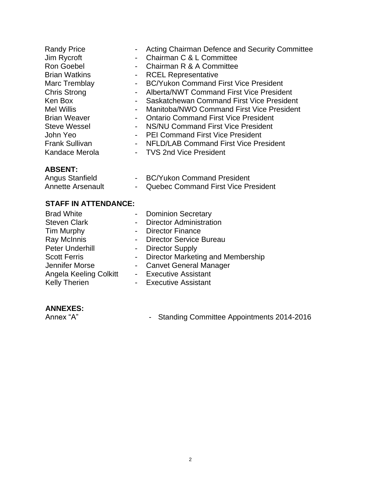| <b>Randy Price</b>    | ۰               | Acting Chairman Defence and Security Committee |
|-----------------------|-----------------|------------------------------------------------|
| Jim Rycroft           | $\blacksquare$  | Chairman C & L Committee                       |
| <b>Ron Goebel</b>     | $\blacksquare$  | Chairman R & A Committee                       |
| <b>Brian Watkins</b>  | $\blacksquare$  | <b>RCEL Representative</b>                     |
| Marc Tremblay         |                 | - BC/Yukon Command First Vice President        |
| <b>Chris Strong</b>   | $\blacksquare$  | Alberta/NWT Command First Vice President       |
| Ken Box               | $\sim$ 10 $\pm$ | Saskatchewan Command First Vice President      |
| <b>Mel Willis</b>     | $\sim$          | Manitoba/NWO Command First Vice President      |
| <b>Brian Weaver</b>   | $\blacksquare$  | <b>Ontario Command First Vice President</b>    |
| <b>Steve Wessel</b>   | $\blacksquare$  | NS/NU Command First Vice President             |
| John Yeo              | $\blacksquare$  | <b>PEI Command First Vice President</b>        |
| <b>Frank Sullivan</b> |                 | - NFLD/LAB Command First Vice President        |
| Kandace Merola        |                 | - TVS 2nd Vice President                       |
|                       |                 |                                                |

# **ABSENT:**

Angus Stanfield **- BC/Yukon Command President** Annette Arsenault **- Quebec Command First Vice President** 

### **STAFF IN ATTENDANCE:**

| <b>Brad White</b>      | - Dominion Secretary                |
|------------------------|-------------------------------------|
| <b>Steven Clark</b>    | - Director Administration           |
| <b>Tim Murphy</b>      | - Director Finance                  |
| Ray McInnis            | - Director Service Bureau           |
| Peter Underhill        | - Director Supply                   |
| <b>Scott Ferris</b>    | - Director Marketing and Membership |
| Jennifer Morse         | - Canvet General Manager            |
| Angela Keeling Colkitt | - Executive Assistant               |
| <b>Kelly Therien</b>   | - Executive Assistant               |

# **ANNEXES:**

- Standing Committee Appointments 2014-2016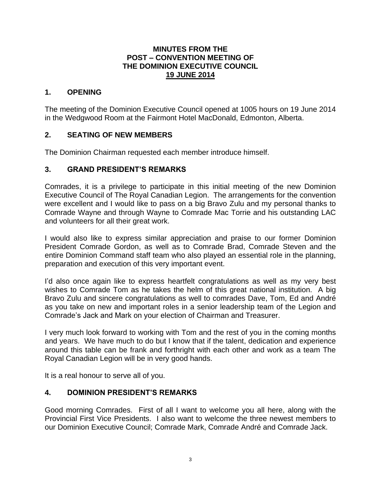#### **MINUTES FROM THE POST – CONVENTION MEETING OF THE DOMINION EXECUTIVE COUNCIL 19 JUNE 2014**

# <span id="page-3-0"></span>**1. OPENING**

The meeting of the Dominion Executive Council opened at 1005 hours on 19 June 2014 in the Wedgwood Room at the Fairmont Hotel MacDonald, Edmonton, Alberta.

# <span id="page-3-1"></span>**2. SEATING OF NEW MEMBERS**

The Dominion Chairman requested each member introduce himself.

# <span id="page-3-2"></span>**3. GRAND PRESIDENT'S REMARKS**

Comrades, it is a privilege to participate in this initial meeting of the new Dominion Executive Council of The Royal Canadian Legion. The arrangements for the convention were excellent and I would like to pass on a big Bravo Zulu and my personal thanks to Comrade Wayne and through Wayne to Comrade Mac Torrie and his outstanding LAC and volunteers for all their great work.

I would also like to express similar appreciation and praise to our former Dominion President Comrade Gordon, as well as to Comrade Brad, Comrade Steven and the entire Dominion Command staff team who also played an essential role in the planning, preparation and execution of this very important event.

I'd also once again like to express heartfelt congratulations as well as my very best wishes to Comrade Tom as he takes the helm of this great national institution. A big Bravo Zulu and sincere congratulations as well to comrades Dave, Tom, Ed and André as you take on new and important roles in a senior leadership team of the Legion and Comrade's Jack and Mark on your election of Chairman and Treasurer.

I very much look forward to working with Tom and the rest of you in the coming months and years. We have much to do but I know that if the talent, dedication and experience around this table can be frank and forthright with each other and work as a team The Royal Canadian Legion will be in very good hands.

It is a real honour to serve all of you.

# <span id="page-3-3"></span>**4. DOMINION PRESIDENT'S REMARKS**

Good morning Comrades. First of all I want to welcome you all here, along with the Provincial First Vice Presidents. I also want to welcome the three newest members to our Dominion Executive Council; Comrade Mark, Comrade André and Comrade Jack.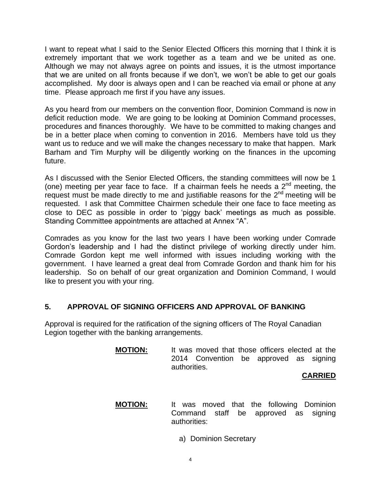I want to repeat what I said to the Senior Elected Officers this morning that I think it is extremely important that we work together as a team and we be united as one. Although we may not always agree on points and issues, it is the utmost importance that we are united on all fronts because if we don't, we won't be able to get our goals accomplished. My door is always open and I can be reached via email or phone at any time. Please approach me first if you have any issues.

As you heard from our members on the convention floor, Dominion Command is now in deficit reduction mode. We are going to be looking at Dominion Command processes, procedures and finances thoroughly. We have to be committed to making changes and be in a better place when coming to convention in 2016. Members have told us they want us to reduce and we will make the changes necessary to make that happen. Mark Barham and Tim Murphy will be diligently working on the finances in the upcoming future.

As I discussed with the Senior Elected Officers, the standing committees will now be 1 (one) meeting per year face to face. If a chairman feels he needs a  $2<sup>nd</sup>$  meeting, the request must be made directly to me and justifiable reasons for the  $2^{nd}$  meeting will be requested. I ask that Committee Chairmen schedule their one face to face meeting as close to DEC as possible in order to 'piggy back' meetings as much as possible. Standing Committee appointments are attached at Annex "A".

Comrades as you know for the last two years I have been working under Comrade Gordon's leadership and I had the distinct privilege of working directly under him. Comrade Gordon kept me well informed with issues including working with the government. I have learned a great deal from Comrade Gordon and thank him for his leadership. So on behalf of our great organization and Dominion Command, I would like to present you with your ring.

# <span id="page-4-0"></span>**5. APPROVAL OF SIGNING OFFICERS AND APPROVAL OF BANKING**

Approval is required for the ratification of the signing officers of The Royal Canadian Legion together with the banking arrangements.

> **MOTION:** It was moved that those officers elected at the 2014 Convention be approved as signing authorities.

#### **CARRIED**

**MOTION:** It was moved that the following Dominion Command staff be approved as signing authorities:

a) Dominion Secretary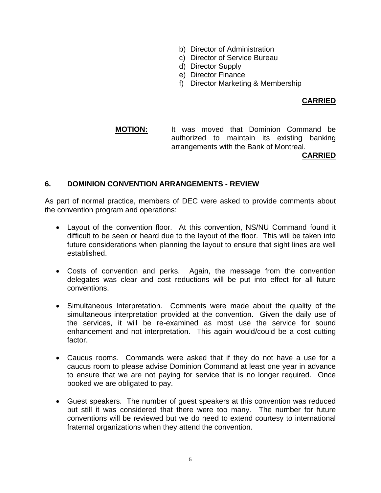- b) Director of Administration
- c) Director of Service Bureau
- d) Director Supply
- e) Director Finance
- f) Director Marketing & Membership

#### **CARRIED**

**MOTION:** It was moved that Dominion Command be authorized to maintain its existing banking arrangements with the Bank of Montreal.

#### **CARRIED**

#### <span id="page-5-0"></span>**6. DOMINION CONVENTION ARRANGEMENTS - REVIEW**

As part of normal practice, members of DEC were asked to provide comments about the convention program and operations:

- Layout of the convention floor. At this convention, NS/NU Command found it difficult to be seen or heard due to the layout of the floor. This will be taken into future considerations when planning the layout to ensure that sight lines are well established.
- Costs of convention and perks. Again, the message from the convention delegates was clear and cost reductions will be put into effect for all future conventions.
- Simultaneous Interpretation. Comments were made about the quality of the simultaneous interpretation provided at the convention. Given the daily use of the services, it will be re-examined as most use the service for sound enhancement and not interpretation. This again would/could be a cost cutting factor.
- Caucus rooms. Commands were asked that if they do not have a use for a caucus room to please advise Dominion Command at least one year in advance to ensure that we are not paying for service that is no longer required. Once booked we are obligated to pay.
- Guest speakers. The number of guest speakers at this convention was reduced but still it was considered that there were too many. The number for future conventions will be reviewed but we do need to extend courtesy to international fraternal organizations when they attend the convention.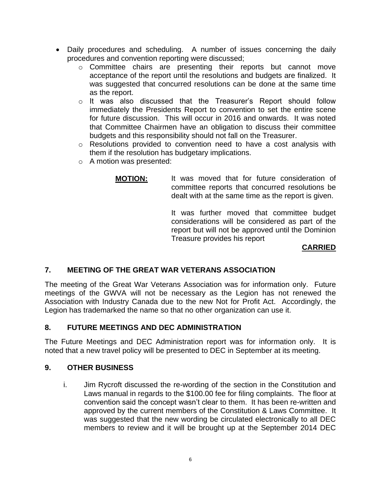- Daily procedures and scheduling. A number of issues concerning the daily procedures and convention reporting were discussed;
	- o Committee chairs are presenting their reports but cannot move acceptance of the report until the resolutions and budgets are finalized. It was suggested that concurred resolutions can be done at the same time as the report.
	- o It was also discussed that the Treasurer's Report should follow immediately the Presidents Report to convention to set the entire scene for future discussion. This will occur in 2016 and onwards. It was noted that Committee Chairmen have an obligation to discuss their committee budgets and this responsibility should not fall on the Treasurer.
	- o Resolutions provided to convention need to have a cost analysis with them if the resolution has budgetary implications.
	- o A motion was presented:

**MOTION:** It was moved that for future consideration of committee reports that concurred resolutions be dealt with at the same time as the report is given.

> It was further moved that committee budget considerations will be considered as part of the report but will not be approved until the Dominion Treasure provides his report

# **CARRIED**

# <span id="page-6-0"></span>**7. MEETING OF THE GREAT WAR VETERANS ASSOCIATION**

The meeting of the Great War Veterans Association was for information only. Future meetings of the GWVA will not be necessary as the Legion has not renewed the Association with Industry Canada due to the new Not for Profit Act. Accordingly, the Legion has trademarked the name so that no other organization can use it.

# <span id="page-6-1"></span>**8. FUTURE MEETINGS AND DEC ADMINISTRATION**

The Future Meetings and DEC Administration report was for information only. It is noted that a new travel policy will be presented to DEC in September at its meeting.

#### <span id="page-6-2"></span>**9. OTHER BUSINESS**

i. Jim Rycroft discussed the re-wording of the section in the Constitution and Laws manual in regards to the \$100.00 fee for filing complaints. The floor at convention said the concept wasn't clear to them. It has been re-written and approved by the current members of the Constitution & Laws Committee. It was suggested that the new wording be circulated electronically to all DEC members to review and it will be brought up at the September 2014 DEC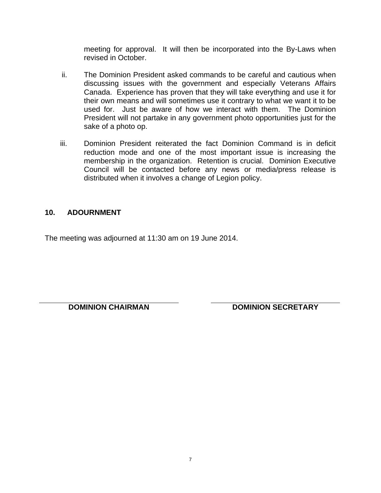meeting for approval. It will then be incorporated into the By-Laws when revised in October.

- ii. The Dominion President asked commands to be careful and cautious when discussing issues with the government and especially Veterans Affairs Canada. Experience has proven that they will take everything and use it for their own means and will sometimes use it contrary to what we want it to be used for. Just be aware of how we interact with them. The Dominion President will not partake in any government photo opportunities just for the sake of a photo op.
- iii. Dominion President reiterated the fact Dominion Command is in deficit reduction mode and one of the most important issue is increasing the membership in the organization. Retention is crucial. Dominion Executive Council will be contacted before any news or media/press release is distributed when it involves a change of Legion policy.

# <span id="page-7-0"></span>**10. ADOURNMENT**

The meeting was adjourned at 11:30 am on 19 June 2014.

**DOMINION CHAIRMAN DOMINION SECRETARY**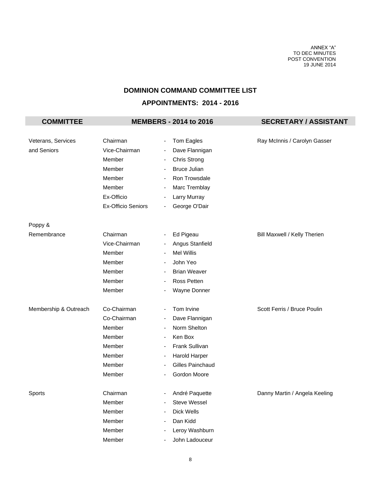ANNEX "A" TO DEC MINUTES POST CONVENTION 19 JUNE 2014

# **DOMINION COMMAND COMMITTEE LIST**

#### **APPOINTMENTS: 2014 - 2016**

| <b>COMMITTEE</b>      |                           |                          | <b>MEMBERS - 2014 to 2016</b> | <b>SECRETARY / ASSISTANT</b>  |  |  |
|-----------------------|---------------------------|--------------------------|-------------------------------|-------------------------------|--|--|
|                       |                           |                          |                               |                               |  |  |
| Veterans, Services    | Chairman                  | $\overline{\phantom{a}}$ | Tom Eagles                    | Ray McInnis / Carolyn Gasser  |  |  |
| and Seniors           | Vice-Chairman             | $\overline{\phantom{a}}$ | Dave Flannigan                |                               |  |  |
|                       | Member                    | ٠                        | Chris Strong                  |                               |  |  |
|                       | Member                    | $\overline{\phantom{a}}$ | <b>Bruce Julian</b>           |                               |  |  |
|                       | Member                    | $\overline{\phantom{a}}$ | Ron Trowsdale                 |                               |  |  |
|                       | Member                    | $\overline{\phantom{a}}$ | Marc Tremblay                 |                               |  |  |
|                       | Ex-Officio                | $\overline{\phantom{a}}$ | Larry Murray                  |                               |  |  |
|                       | <b>Ex-Officio Seniors</b> | $\overline{\phantom{a}}$ | George O'Dair                 |                               |  |  |
| Poppy &               |                           |                          |                               |                               |  |  |
| Remembrance           | Chairman                  | $\overline{\phantom{a}}$ | Ed Pigeau                     | Bill Maxwell / Kelly Therien  |  |  |
|                       | Vice-Chairman             | $\overline{\phantom{a}}$ | Angus Stanfield               |                               |  |  |
|                       | Member                    |                          | <b>Mel Willis</b>             |                               |  |  |
|                       | Member                    | $\overline{\phantom{a}}$ | John Yeo                      |                               |  |  |
|                       | Member                    | $\overline{\phantom{a}}$ | <b>Brian Weaver</b>           |                               |  |  |
|                       | Member                    | $\overline{\phantom{a}}$ | Ross Petten                   |                               |  |  |
|                       | Member                    |                          | Wayne Donner                  |                               |  |  |
| Membership & Outreach | Co-Chairman               | $\overline{\phantom{a}}$ | Tom Irvine                    | Scott Ferris / Bruce Poulin   |  |  |
|                       | Co-Chairman               | $\overline{\phantom{a}}$ | Dave Flannigan                |                               |  |  |
|                       | Member                    |                          | Norm Shelton                  |                               |  |  |
|                       | Member                    | $\overline{\phantom{a}}$ | Ken Box                       |                               |  |  |
|                       | Member                    |                          | Frank Sullivan                |                               |  |  |
|                       | Member                    | $\overline{\phantom{a}}$ | Harold Harper                 |                               |  |  |
|                       | Member                    | $\overline{\phantom{a}}$ | Gilles Painchaud              |                               |  |  |
|                       | Member                    |                          | Gordon Moore                  |                               |  |  |
| Sports                | Chairman                  | $\overline{\phantom{a}}$ | André Paquette                | Danny Martin / Angela Keeling |  |  |
|                       | Member                    |                          | Steve Wessel                  |                               |  |  |
|                       | Member                    |                          | Dick Wells                    |                               |  |  |
|                       | Member                    |                          | Dan Kidd                      |                               |  |  |
|                       | Member                    |                          | Leroy Washburn                |                               |  |  |
|                       | Member                    |                          | John Ladouceur                |                               |  |  |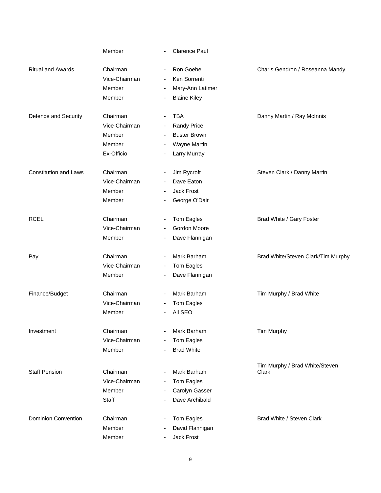|                              | Member        | <b>Clarence Paul</b>                     |                                         |
|------------------------------|---------------|------------------------------------------|-----------------------------------------|
| <b>Ritual and Awards</b>     | Chairman      | Ron Goebel                               | Charls Gendron / Roseanna Mandy         |
|                              | Vice-Chairman | Ken Sorrenti<br>$\overline{\phantom{a}}$ |                                         |
|                              | Member        | Mary-Ann Latimer                         |                                         |
|                              | Member        | <b>Blaine Kiley</b>                      |                                         |
| Defence and Security         | Chairman      | <b>TBA</b>                               | Danny Martin / Ray McInnis              |
|                              | Vice-Chairman | <b>Randy Price</b>                       |                                         |
|                              | Member        | <b>Buster Brown</b>                      |                                         |
|                              | Member        | Wayne Martin                             |                                         |
|                              | Ex-Officio    | Larry Murray                             |                                         |
| <b>Constitution and Laws</b> | Chairman      | Jim Rycroft                              | Steven Clark / Danny Martin             |
|                              | Vice-Chairman | Dave Eaton                               |                                         |
|                              | Member        | Jack Frost                               |                                         |
|                              | Member        | George O'Dair                            |                                         |
| <b>RCEL</b>                  | Chairman      | Tom Eagles                               | Brad White / Gary Foster                |
|                              | Vice-Chairman | Gordon Moore                             |                                         |
|                              | Member        | Dave Flannigan                           |                                         |
| Pay                          | Chairman      | Mark Barham                              | Brad White/Steven Clark/Tim Murphy      |
|                              | Vice-Chairman | Tom Eagles                               |                                         |
|                              | Member        | Dave Flannigan                           |                                         |
| Finance/Budget               | Chairman      | Mark Barham                              | Tim Murphy / Brad White                 |
|                              | Vice-Chairman | Tom Eagles                               |                                         |
|                              | Member        | All SEO                                  |                                         |
| Investment                   | Chairman      | Mark Barham                              | Tim Murphy                              |
|                              | Vice-Chairman | Tom Eagles                               |                                         |
|                              | Member        | <b>Brad White</b>                        |                                         |
| <b>Staff Pension</b>         | Chairman      | Mark Barham                              | Tim Murphy / Brad White/Steven<br>Clark |
|                              | Vice-Chairman | Tom Eagles                               |                                         |
|                              | Member        | Carolyn Gasser                           |                                         |
|                              | Staff         | Dave Archibald                           |                                         |
| <b>Dominion Convention</b>   | Chairman      | Tom Eagles                               | Brad White / Steven Clark               |
|                              | Member        |                                          |                                         |
|                              |               | David Flannigan                          |                                         |
|                              | Member        | Jack Frost                               |                                         |